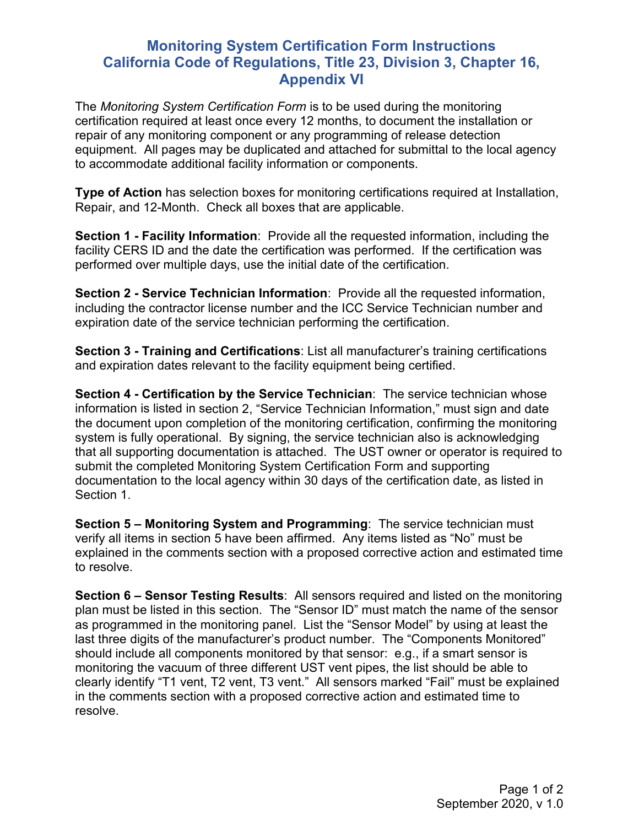## **Monitoring System Certification Form Instructions California Code of Regulations, Title 23, Division 3, Chapter 16, Appendix VI**

The *Monitoring System Certification Form* is to be used during the monitoring certification required at least once every 12 months, to document the installation or repair of any monitoring component or any programming of release detection equipment. All pages may be duplicated and attached for submittal to the local agency to accommodate additional facility information or components.

**Type of Action** has selection boxes for monitoring certifications required at Installation, Repair, and 12-Month. Check all boxes that are applicable.

**Section 1 - Facility Information**: Provide all the requested information, including the facility CERS ID and the date the certification was performed. If the certification was performed over multiple days, use the initial date of the certification.

**Section 2 - Service Technician Information**: Provide all the requested information, including the contractor license number and the ICC Service Technician number and expiration date of the service technician performing the certification.

**Section 3 - Training and Certifications**: List all manufacturer's training certifications and expiration dates relevant to the facility equipment being certified.

**Section 4 - Certification by the Service Technician**: The service technician whose information is listed in section 2, "Service Technician Information," must sign and date the document upon completion of the monitoring certification, confirming the monitoring system is fully operational. By signing, the service technician also is acknowledging that all supporting documentation is attached. The UST owner or operator is required to submit the completed Monitoring System Certification Form and supporting documentation to the local agency within 30 days of the certification date, as listed in Section 1.

**Section 5 – Monitoring System and Programming**: The service technician must verify all items in section 5 have been affirmed. Any items listed as "No" must be explained in the comments section with a proposed corrective action and estimated time to resolve.

**Section 6 – Sensor Testing Results**: All sensors required and listed on the monitoring plan must be listed in this section. The "Sensor ID" must match the name of the sensor as programmed in the monitoring panel. List the "Sensor Model" by using at least the last three digits of the manufacturer's product number. The "Components Monitored" should include all components monitored by that sensor: e.g., if a smart sensor is monitoring the vacuum of three different UST vent pipes, the list should be able to clearly identify "T1 vent, T2 vent, T3 vent." All sensors marked "Fail" must be explained in the comments section with a proposed corrective action and estimated time to resolve.